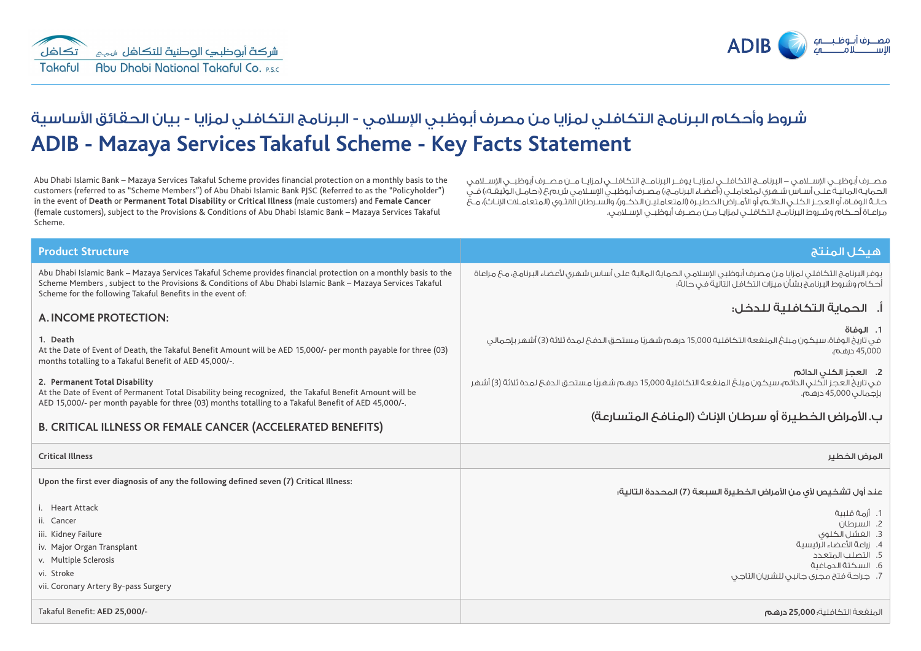

# **ADIB - Mazaya Services Takaful Scheme - Key Facts Statement** شروط وأحكام البرنامج التكافلي لمزايا من مصرف أبوظبي الإسلامي - البرنامج التكافلي لمزايا - بيان الحقائق الأساسية

Abu Dhabi Islamic Bank – Mazaya Services Takaful Scheme provides financial protection on a monthly basis to the customers (referred to as "Scheme Members") of Abu Dhabi Islamic Bank PJSC (Referred to as the "Policyholder") in the event of **Death** or **Permanent Total Disability** or **Critical Illness** (male customers) and **Female Cancer** (female customers), subject to the Provisions & Conditions of Abu Dhabi Islamic Bank – Mazaya Services Takaful Scheme.

مصــرف أبوظبــي اإلســامي - البرنامــج التكافلــي لمزايــا يوفــر البرنامــج التكافلــي لمزايــا مــن مصــرف أبوظبــي اإلســامي الحمايـة الماليـة علـى أسـاس شـهري لمتعاملـي (أعضـاء البرنامـج») مصـرف أبوظبـي الاسـلامـي ش.م.ع (بحامـل الوثيقـة») فـي حالـة الوفـاة، أو العجـز الكـلـي الدائـم، أو الأمـراض الخطيـرة (المتعامليـن الذكـور)، والسـرطان الانثـوي (المتعامـلات الإنـاث)، مـعُ مراعـاة أحـكام وشـروط البرنامـج التكافلـي لمزايـا مـن مصـرف أبوظبـي اإلسـامي.

| <b>Product Structure</b>                                                                                                                                                                                                                                                                    | هيكل المنتج                                                                                                                                                                |  |  |  |
|---------------------------------------------------------------------------------------------------------------------------------------------------------------------------------------------------------------------------------------------------------------------------------------------|----------------------------------------------------------------------------------------------------------------------------------------------------------------------------|--|--|--|
| Abu Dhabi Islamic Bank - Mazaya Services Takaful Scheme provides financial protection on a monthly basis to the<br>Scheme Members, subject to the Provisions & Conditions of Abu Dhabi Islamic Bank - Mazaya Services Takaful<br>Scheme for the following Takaful Benefits in the event of: | يوفر البرنامج التكافلي لمزايا من مصرف أبوظبي الإسلامي الحماية المالية على أساس شهري لأعضاء البرنامج، مع مراعاة<br>أحكام وشروط البرنامج بشأن ميزات التكافل التآلية فى حالة؛ |  |  |  |
| A. INCOME PROTECTION:                                                                                                                                                                                                                                                                       | اً.   الحماية التكافلية للدخل:                                                                                                                                             |  |  |  |
| 1. Death<br>At the Date of Event of Death, the Takaful Benefit Amount will be AED 15,000/- per month payable for three (03)<br>months totalling to a Takaful Benefit of AED 45,000/-.                                                                                                       | 1. الوفاة<br>في تاريخ الوفاة، سيكون مبلغ المنغعة التكافلية 15,000 درهم شهريًا مستحق الدفعَ لمدة ثلاثة (3) أشهر بإجمالي<br>45,000 درهـم.                                    |  |  |  |
| 2. Permanent Total Disability<br>At the Date of Event of Permanent Total Disability being recognized, the Takaful Benefit Amount will be<br>AED 15,000/- per month payable for three (03) months totalling to a Takaful Benefit of AED 45,000/-.                                            | 2. العجز الكلى الدائم<br>فى تاريخ العجز الكلى الدائم، سيكون مبلغ المنفعة التكافلية 15,000 درهم شهريًا مستحق الدفعَ لمدة ثلاثة (3) أشهر<br>بإجمالي 45,000 درهـم.            |  |  |  |
| <b>B. CRITICAL ILLNESS OR FEMALE CANCER (ACCELERATED BENEFITS)</b>                                                                                                                                                                                                                          | ب. الأمراض الخطيرة أو سرطان الإناث (المنافع المتسارعة)                                                                                                                     |  |  |  |
| <b>Critical Illness</b>                                                                                                                                                                                                                                                                     | المرض الخطير                                                                                                                                                               |  |  |  |
| Upon the first ever diagnosis of any the following defined seven (7) Critical Illness:                                                                                                                                                                                                      | عند أول تشخيص لأى من الأمراض الخطيرة السبعة (7) المحددة التالية:                                                                                                           |  |  |  |
| i. Heart Attack                                                                                                                                                                                                                                                                             | 1. أزمة قلىية                                                                                                                                                              |  |  |  |
| ii. Cancer                                                                                                                                                                                                                                                                                  | 2. السرطان                                                                                                                                                                 |  |  |  |
| iii. Kidney Failure                                                                                                                                                                                                                                                                         | 3. الغشل الكلوى<br>4. زراعة الأعضاء الرئيسية                                                                                                                               |  |  |  |
| iv. Major Organ Transplant<br>v. Multiple Sclerosis                                                                                                                                                                                                                                         | 5. التصلب المتعدد                                                                                                                                                          |  |  |  |
| vi. Stroke                                                                                                                                                                                                                                                                                  | 6. السكتة الدماغية                                                                                                                                                         |  |  |  |
| vii. Coronary Artery By-pass Surgery                                                                                                                                                                                                                                                        | 7. جراحة فتح مجرى جانبى للشريان التاجى                                                                                                                                     |  |  |  |
| Takaful Benefit: AED 25,000/-                                                                                                                                                                                                                                                               | المنغعة التكافلية؛ 25,000 <b>درهم</b>                                                                                                                                      |  |  |  |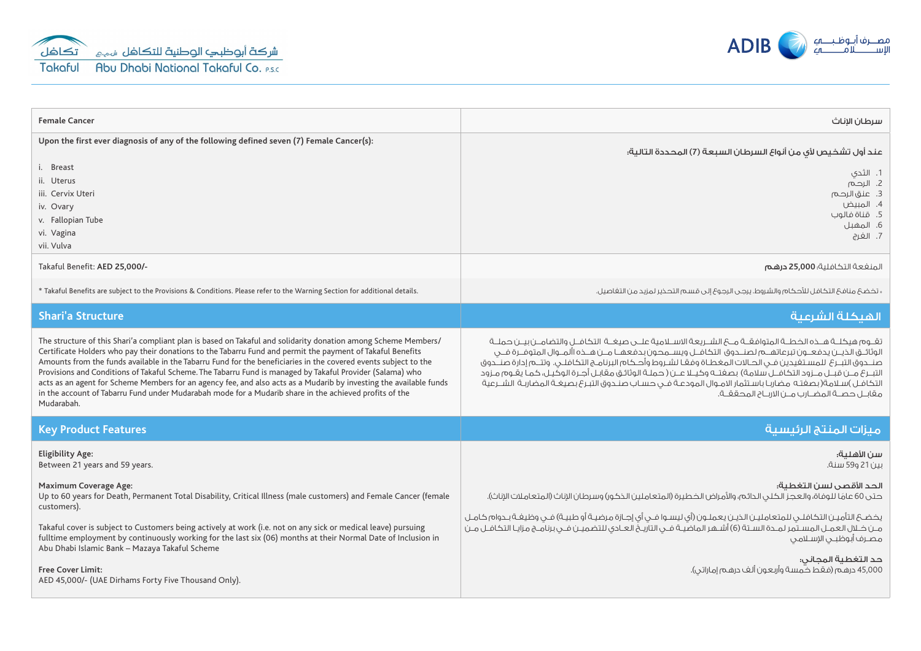



| <b>Female Cancer</b>                                                                                                                                                                                                                                                                                                                                                                                                                                                                                                                                                                                                                                                                                       | سرطان الاناث                                                                                                                                                                                                                                                                                                                                                                                                                                                                                                                                                                                                                                                            |  |  |
|------------------------------------------------------------------------------------------------------------------------------------------------------------------------------------------------------------------------------------------------------------------------------------------------------------------------------------------------------------------------------------------------------------------------------------------------------------------------------------------------------------------------------------------------------------------------------------------------------------------------------------------------------------------------------------------------------------|-------------------------------------------------------------------------------------------------------------------------------------------------------------------------------------------------------------------------------------------------------------------------------------------------------------------------------------------------------------------------------------------------------------------------------------------------------------------------------------------------------------------------------------------------------------------------------------------------------------------------------------------------------------------------|--|--|
| Upon the first ever diagnosis of any of the following defined seven (7) Female Cancer(s):                                                                                                                                                                                                                                                                                                                                                                                                                                                                                                                                                                                                                  | عند أول تشخيص لأى من أنواع السرطان السبعة (7) المحددة التالية؛                                                                                                                                                                                                                                                                                                                                                                                                                                                                                                                                                                                                          |  |  |
| i. Breast<br>ii. Uterus<br>iii. Cervix Uteri<br>iv. Ovary<br>v. Fallopian Tube<br>vi. Vagina<br>vii. Vulva                                                                                                                                                                                                                                                                                                                                                                                                                                                                                                                                                                                                 | 1. الثحي<br>2. الرحم<br>3. عنق الرحم<br>4. المبيض<br>5. قناة فالوب<br>6. المهبل<br>7. الغرج                                                                                                                                                                                                                                                                                                                                                                                                                                                                                                                                                                             |  |  |
| Takaful Benefit: AED 25,000/-                                                                                                                                                                                                                                                                                                                                                                                                                                                                                                                                                                                                                                                                              | المنفعة التكافلية؛ 25,000 درهم                                                                                                                                                                                                                                                                                                                                                                                                                                                                                                                                                                                                                                          |  |  |
| * Takaful Benefits are subject to the Provisions & Conditions. Please refer to the Warning Section for additional details.                                                                                                                                                                                                                                                                                                                                                                                                                                                                                                                                                                                 | « تذضحَ منافحَ التكافل للأحكام والشروط. يرجى الرجوعَ إلى قسـم التحذير لمزيد مـن التفاصيل.                                                                                                                                                                                                                                                                                                                                                                                                                                                                                                                                                                               |  |  |
| <b>Shari'a Structure</b>                                                                                                                                                                                                                                                                                                                                                                                                                                                                                                                                                                                                                                                                                   | الهيكلة الشرعية                                                                                                                                                                                                                                                                                                                                                                                                                                                                                                                                                                                                                                                         |  |  |
| The structure of this Shari'a compliant plan is based on Takaful and solidarity donation among Scheme Members/<br>Certificate Holders who pay their donations to the Tabarru Fund and permit the payment of Takaful Benefits<br>Amounts from the funds available in the Tabarru Fund for the beneficiaries in the covered events subject to the<br>Provisions and Conditions of Takaful Scheme. The Tabarru Fund is managed by Takaful Provider (Salama) who<br>acts as an agent for Scheme Members for an agency fee, and also acts as a Mudarib by investing the available funds<br>in the account of Tabarru Fund under Mudarabah mode for a Mudarib share in the achieved profits of the<br>Mudarabah. | تقــوم هيكلــة هــذه الخطــة المتوافقــة مــع الشــريعة الاســلامية علــى صيغــة  التكافــل والتضامــن بيــن حملــة<br>الوثائــق الذيــن يدفعــون تبرعاتهــم لصنــدوق التكافــل ويســمحون بدفعهــا مــن هــذه األمــوال المتوفــرة فــى<br>صنــدوق التبــرع للمسـتفيدين فــى الحــالات المغطـاة وفقـا لشـروط وأحـكام البرنامــج التكافلــى. وتتـــم إدارة صنــدوق<br>التبــرع مــن قبــل مــزود التكافــل سلامة) بصغتــه وكيــلا عــن ( حملـة الوثائـق مـقابـل أجـرة الوكيـل، كمـا يقـوم مـزود<br>التكافـل )سـلامة(بصغتـه مضاربـا باسـتثمار الامـوال المودعـة فــى حسـاب صنــدوق التبـرع بصيغـة المضاربـة الشــرعية<br>مقابـل حصــة المضــارب مــن الاربــاح المحققــة. |  |  |
| <b>Key Product Features</b>                                                                                                                                                                                                                                                                                                                                                                                                                                                                                                                                                                                                                                                                                | ميزات المنتج الرئيسية                                                                                                                                                                                                                                                                                                                                                                                                                                                                                                                                                                                                                                                   |  |  |
| <b>Eligibility Age:</b><br>Between 21 years and 59 years.                                                                                                                                                                                                                                                                                                                                                                                                                                                                                                                                                                                                                                                  | سن الأهلية؛<br>سن 21 و59 سنة.                                                                                                                                                                                                                                                                                                                                                                                                                                                                                                                                                                                                                                           |  |  |
| <b>Maximum Coverage Age:</b><br>Up to 60 years for Death, Permanent Total Disability, Critical Illness (male customers) and Female Cancer (female<br>customers).                                                                                                                                                                                                                                                                                                                                                                                                                                                                                                                                           | الحد الأقصى لسن التغطية؛<br>حتى 60 عامًا للوفاة، والعجز الكلى الدائم، والأمراض الخطيرة (المتعاملين الذكور) وسرطان الإناث (المتعاملات الإناث).                                                                                                                                                                                                                                                                                                                                                                                                                                                                                                                           |  |  |
| Takaful cover is subject to Customers being actively at work (i.e. not on any sick or medical leave) pursuing<br>fulltime employment by continuously working for the last six (06) months at their Normal Date of Inclusion in<br>Abu Dhabi Islamic Bank - Mazaya Takaful Scheme                                                                                                                                                                                                                                                                                                                                                                                                                           | يخضــع التأميـن التكافلــى للمتعامليـن الذيـن يعملـون (أى ليسـوا فــى أى إجـازة مرضيـة أو طبيـة) فــى وظيفـة بــدوام كامـل<br>من خـلال العمـل المسـتمر لمـدة السـتة (6) أشـهر الماضيـة فـي التأريـخُ العـادي للتضميـن فـي برنامـج مزايـا التكافـل مـن<br>مصرف أبوظبى الإسلامى                                                                                                                                                                                                                                                                                                                                                                                           |  |  |
| <b>Free Cover Limit:</b><br>AED 45,000/- (UAE Dirhams Forty Five Thousand Only).                                                                                                                                                                                                                                                                                                                                                                                                                                                                                                                                                                                                                           | حد التغطية المجانى:<br>.<br>45,000 درهـم (فـقـط خـمسة وأربعـون ألـف درهـم إماراتـي).                                                                                                                                                                                                                                                                                                                                                                                                                                                                                                                                                                                    |  |  |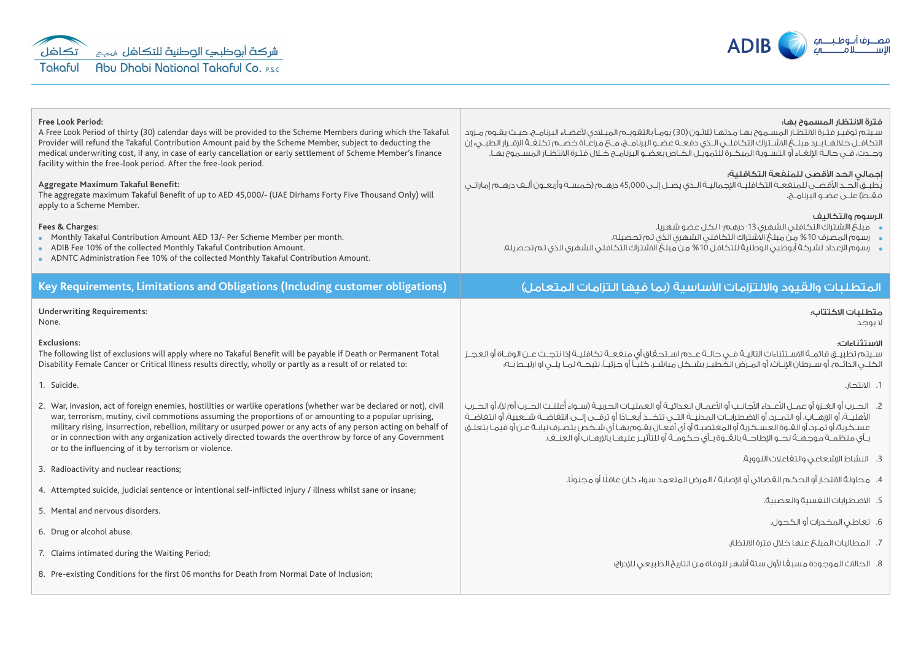



| <b>Free Look Period:</b><br>A Free Look Period of thirty (30) calendar days will be provided to the Scheme Members during which the Takaful<br>Provider will refund the Takaful Contribution Amount paid by the Scheme Member, subject to deducting the<br>medical underwriting cost, if any, in case of early cancellation or early settlement of Scheme Member's finance<br>facility within the free-look period. After the free-look period.<br>Aggregate Maximum Takaful Benefit:<br>The aggregate maximum Takaful Benefit of up to AED 45,000/- (UAE Dirhams Forty Five Thousand Only) will<br>apply to a Scheme Member.<br>Fees & Charges:<br>• Monthly Takaful Contribution Amount AED 13/- Per Scheme Member per month.<br>• ADIB Fee 10% of the collected Monthly Takaful Contribution Amount.<br>• ADNTC Administration Fee 10% of the collected Monthly Takaful Contribution Amount. | فترة الانتظار المسموح يها؛<br>سيتم توفيـر فتـرة الانتظـار المســموع بهـا محتهـا ثلاثـون (30) يومـاً بالتقويــم الميـلادى لأعضـاء البرنامــج، حيـث يقــوم مــزود<br>التكافــل خـلالهــا بــرد مبلـــخ الاشــتراك التكافـلــى الــذى دفعــه عضــو البرنامـــج، مـــح مراعَــاة خصــم تكـلفــة الإقــرار الطبـــى، إن<br>وجــدت، فــى حـالــة الإلغــاء أو التســوية المبكــرة للتمويــل الخــاص بعضــو البرنامــج خــلال فتـرة الانتظـار المســموح بهـا.<br>إحمالي الحد الأقصى للمنفعة التكافلية:<br>يُطبـق الحــد الأقصــى للمنغعــة التكافليـة الإجماليـة الــذى يصــل إلــى 45,000 درهــم (خمسـة وأربعــون ألــف درهــم إماراتــى<br>فقط) علــى عضـو البرنامــج.<br>الرسوم والتكاليف<br>، مبلغ االشتراك التكافلي الشهري 13 َ درهم َ الكل عضو شهريا.<br>،     رسوم المصرف 10 % من مبلغ الاشتراك التكافلي الشهري الذي تم تحصيله.<br>•     رسوم الإعداد لشركة أبوظبى الوطنية للتكافل 10% من مبلغ الاشتراك التكافلى الشهرى الذى تم تحصيله. |  |
|-------------------------------------------------------------------------------------------------------------------------------------------------------------------------------------------------------------------------------------------------------------------------------------------------------------------------------------------------------------------------------------------------------------------------------------------------------------------------------------------------------------------------------------------------------------------------------------------------------------------------------------------------------------------------------------------------------------------------------------------------------------------------------------------------------------------------------------------------------------------------------------------------|-----------------------------------------------------------------------------------------------------------------------------------------------------------------------------------------------------------------------------------------------------------------------------------------------------------------------------------------------------------------------------------------------------------------------------------------------------------------------------------------------------------------------------------------------------------------------------------------------------------------------------------------------------------------------------------------------------------------------------------------------------------------------------------------------------------------------------------------------------------------------------------------------------------------------------------------|--|
| Key Requirements, Limitations and Obligations (Including customer obligations)                                                                                                                                                                                                                                                                                                                                                                                                                                                                                                                                                                                                                                                                                                                                                                                                                  | المتطلبات والقيود والالتزامات الأساسية (بما فيها التزامات المتعامل)                                                                                                                                                                                                                                                                                                                                                                                                                                                                                                                                                                                                                                                                                                                                                                                                                                                                     |  |
| <b>Underwriting Requirements:</b><br>None.                                                                                                                                                                                                                                                                                                                                                                                                                                                                                                                                                                                                                                                                                                                                                                                                                                                      | متطلبات الاكتتاب<br>لا يوجد                                                                                                                                                                                                                                                                                                                                                                                                                                                                                                                                                                                                                                                                                                                                                                                                                                                                                                             |  |
| <b>Exclusions:</b><br>The following list of exclusions will apply where no Takaful Benefit will be payable if Death or Permanent Total<br>Disability Female Cancer or Critical Illness results directly, wholly or partly as a result of or related to:                                                                                                                                                                                                                                                                                                                                                                                                                                                                                                                                                                                                                                         | الاستثناءات:<br>سـيتم تطبيـق قائمـة الاسـتثناءات التاليـة فــي حالـة عــدم اسـتحـقاق أى منفعـة تكافليـة إذا نتجـت عـن الوفـاة أو العجـز<br>الكلــى الدائــم، أو ســرطان الإنــاث، أو المــرض الخــطيــر بشــكـل مباشــر، كَليّـاً أو جـزئيــاً، نتيجــة لمـا يلــى او ارتبــط بــه؛                                                                                                                                                                                                                                                                                                                                                                                                                                                                                                                                                                                                                                                     |  |
| 1. Suicide.                                                                                                                                                                                                                                                                                                                                                                                                                                                                                                                                                                                                                                                                                                                                                                                                                                                                                     | 1. الانتحار.                                                                                                                                                                                                                                                                                                                                                                                                                                                                                                                                                                                                                                                                                                                                                                                                                                                                                                                            |  |
| 2. War, invasion, act of foreign enemies, hostilities or warlike operations (whether war be declared or not), civil<br>war, terrorism, mutiny, civil commotions assuming the proportions of or amounting to a popular uprising,<br>military rising, insurrection, rebellion, military or usurped power or any acts of any person acting on behalf of<br>or in connection with any organization actively directed towards the overthrow by force of any Government<br>or to the influencing of it by terrorism or violence.                                                                                                                                                                                                                                                                                                                                                                      | 2.    الحــرب أو الغــزو أو عمــل الأعــداء الأجانــب أو الأعمــال العـدائيــة أو العمليــات الحــربيـة (ســواء أعلنــت الحــرب أم لا)، أو الحــرب<br>الأهليــة، أو الإرهــاب، أو التصـرد، أو الاضطرابــات المحنيــة الـتــى تتــحــذ أبعـــادًا أو ترقـــى إلــى انتفاضـة شـــعبية، أو انتفاضــة<br>عسكرية، أو تمـرد، أو العَـوة العسـكرية أو المغتصبـة أو أى أفـعـال يقـوم بهـا أى شـخص يتصـرف نيابـة عـن أو فيمـا يتعلـق<br>بـأى منظَمــة موجهــة نحــو الإطاحــة بالقــوة بـأى حكومــة أو للتأثيـر عليهـا بالإرهـاب أو العنــف.                                                                                                                                                                                                                                                                                                                                                                                                     |  |
| 3. Radioactivity and nuclear reactions;                                                                                                                                                                                                                                                                                                                                                                                                                                                                                                                                                                                                                                                                                                                                                                                                                                                         | 3. النشاط الإشعاعي والتغاعلات النووية.                                                                                                                                                                                                                                                                                                                                                                                                                                                                                                                                                                                                                                                                                                                                                                                                                                                                                                  |  |
| 4. Attempted suicide, Judicial sentence or intentional self-inflicted injury / illness whilst sane or insane;                                                                                                                                                                                                                                                                                                                                                                                                                                                                                                                                                                                                                                                                                                                                                                                   | 4.    محاولة الانتحار أو الحكم القضائى أو الإصابة / المرض المتعمد سواء كان عاقلًا أو مجنونًا.                                                                                                                                                                                                                                                                                                                                                                                                                                                                                                                                                                                                                                                                                                                                                                                                                                           |  |
| 5. Mental and nervous disorders.                                                                                                                                                                                                                                                                                                                                                                                                                                                                                                                                                                                                                                                                                                                                                                                                                                                                | 5. الاضطرابات النغسية والعصبية.                                                                                                                                                                                                                                                                                                                                                                                                                                                                                                                                                                                                                                                                                                                                                                                                                                                                                                         |  |
| 6. Drug or alcohol abuse.                                                                                                                                                                                                                                                                                                                                                                                                                                                                                                                                                                                                                                                                                                                                                                                                                                                                       | 6. تعاطى المخدرات أو الكحول.                                                                                                                                                                                                                                                                                                                                                                                                                                                                                                                                                                                                                                                                                                                                                                                                                                                                                                            |  |
| 7. Claims intimated during the Waiting Period;                                                                                                                                                                                                                                                                                                                                                                                                                                                                                                                                                                                                                                                                                                                                                                                                                                                  | 7. المطالبات المبلغ عنها خلال فترة الانتظار.                                                                                                                                                                                                                                                                                                                                                                                                                                                                                                                                                                                                                                                                                                                                                                                                                                                                                            |  |
| 8. Pre-existing Conditions for the first 06 months for Death from Normal Date of Inclusion;                                                                                                                                                                                                                                                                                                                                                                                                                                                                                                                                                                                                                                                                                                                                                                                                     | 8.    الحالات الموجودة مسبقًا لأول ستة أشهر للوفاة من التاريخ الطبيعى للإدراج؛                                                                                                                                                                                                                                                                                                                                                                                                                                                                                                                                                                                                                                                                                                                                                                                                                                                          |  |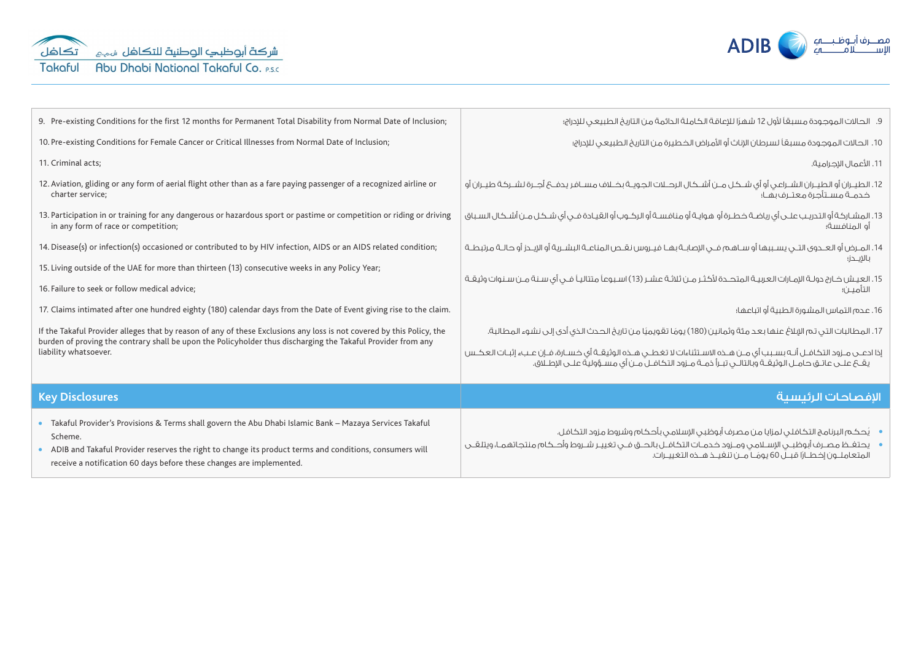

| 9. Pre-existing Conditions for the first 12 months for Permanent Total Disability from Normal Date of Inclusion;                                                                                                                                                                                        | 9. الحالات الموجودة مسبقاً لأول 12 شهرًا للإعاقة الكاملة الدائمة من التاريخ الطبيعي للإدراج؛                                                                                                                                     |  |  |  |
|---------------------------------------------------------------------------------------------------------------------------------------------------------------------------------------------------------------------------------------------------------------------------------------------------------|----------------------------------------------------------------------------------------------------------------------------------------------------------------------------------------------------------------------------------|--|--|--|
| 10. Pre-existing Conditions for Female Cancer or Critical Illnesses from Normal Date of Inclusion;                                                                                                                                                                                                      | 10. الحالات الموجودة مسبقاً لسرطان الإناث أو الأمراض الخطيرة من التاريخ الطبيعى للإدراج؛                                                                                                                                         |  |  |  |
| 11. Criminal acts;                                                                                                                                                                                                                                                                                      | 11. الأعمال الإجرامية.                                                                                                                                                                                                           |  |  |  |
| 12. Aviation, gliding or any form of aerial flight other than as a fare paying passenger of a recognized airline or<br>charter service;                                                                                                                                                                 | 12. الطيــران أو الطيــران الشــراعـي أو أي شــكـل مــن أشــكال الرحــلات الجـويــة بخــلاف مســافر يدفــ6 أجــرة لشــركة طيــران أو<br>خدمــة مســتأجرة معتــرف بهـا؛                                                           |  |  |  |
| 13. Participation in or training for any dangerous or hazardous sport or pastime or competition or riding or driving<br>in any form of race or competition;                                                                                                                                             | 13. المشـاركة أو التدريـب علـى أي رياضـة خطـرة أو هوايـة أو منافسـة أو الركـوب أو القيـادة فـي أي شـكل مـن أشـكال السـباق<br>أو المنافسة؛                                                                                        |  |  |  |
| 14. Disease(s) or infection(s) occasioned or contributed to by HIV infection, AIDS or an AIDS related condition;                                                                                                                                                                                        | 14. المـرض أو العـدوى التـى يسـببها أو سـاهـم فـى الإصابـة بهـا فيـروس نقـص المناعـة البشـرية أو الإيـدز أو حالـة مرتبطـة<br>بالإيــدز؛                                                                                          |  |  |  |
| 15. Living outside of the UAE for more than thirteen (13) consecutive weeks in any Policy Year;                                                                                                                                                                                                         |                                                                                                                                                                                                                                  |  |  |  |
| 16. Failure to seek or follow medical advice;                                                                                                                                                                                                                                                           | 15. العيش خـارج دولـة الإمـارات العربيـة المتحــدة لأكثـر مـن ثلاثـة عشـر (13) اسـبوعاً متتاليـاً فــى أى سـنـة مـن سـنوات وثيقـة<br>التآميــن؛                                                                                  |  |  |  |
| 17. Claims intimated after one hundred eighty (180) calendar days from the Date of Event giving rise to the claim.                                                                                                                                                                                      | 16. عدم التماس المشورة الطبية أو اتباعها؛                                                                                                                                                                                        |  |  |  |
| If the Takaful Provider alleges that by reason of any of these Exclusions any loss is not covered by this Policy, the<br>burden of proving the contrary shall be upon the Policyholder thus discharging the Takaful Provider from any<br>liability whatsoever.                                          | 17. المطالبات التي تم اللإلاغ عنها بعد مئة وثمانين (180) يومًا تقويميًا من تاريخ الحدث الذي أدى إلى نشوء المطالبة.                                                                                                               |  |  |  |
|                                                                                                                                                                                                                                                                                                         | إذا ادعــى مـزود التكافــل أنــه بسـبـب أي مــن هــذه الاسـتثناءات لا تغطــي هــذه الوثيقــة أي خســارة، فــإن عــبء إثبـات العكــس<br>يقــع علــى عاتـق حامــل الوثيقــة وبالتالــي تبــرأ ذمــة مــزود التكافــل مــن أي مســؤ |  |  |  |
| <b>Key Disclosures</b>                                                                                                                                                                                                                                                                                  | الإفصاحات الرئيسية                                                                                                                                                                                                               |  |  |  |
| • Takaful Provider's Provisions & Terms shall govern the Abu Dhabi Islamic Bank - Mazaya Services Takaful<br>Scheme.<br>ADIB and Takaful Provider reserves the right to change its product terms and conditions, consumers will<br>receive a notification 60 days before these changes are implemented. | ●    يحتفـظ مصـرف أبوظبــى الإســلامـى ومــزود خـدمــات التكافــل بالحــق فــى تغييـر شــروط وأحــكام منتجاتهمـا، ويتلقــى<br>المتعاملـون إخطـارًا قبـل 60 يومًـا مـن تنغيـذ هـذه التغييـرات.                                    |  |  |  |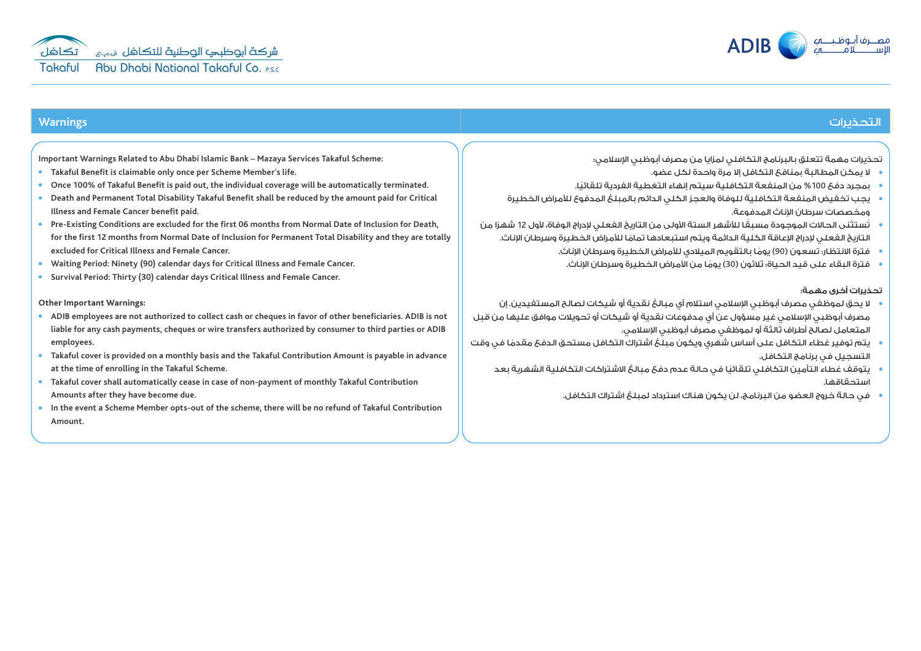

**Important Warnings Related to Abu Dhabi Islamic Bank** – **Mazaya Services Takaful Scheme:**

- **Takaful Benefit is claimable only once per Scheme Member**'**s life.**
- **Once 100% of Takaful Benefit is paid out, the individual coverage will be automatically terminated.**
- **Death and Permanent Total Disability Takaful Benefit shall be reduced by the amount paid for Critical Illness and Female Cancer benefit paid.**
- **Pre-Existing Conditions are excluded for the first 06 months from Normal Date of Inclusion for Death, for the first 12 months from Normal Date of Inclusion for Permanent Total Disability and they are totally excluded for Critical Illness and Female Cancer.**
- **Waiting Period: Ninety (90) calendar days for Critical Illness and Female Cancer.**
- **Survival Period: Thirty (30) calendar days Critical Illness and Female Cancer.**

#### **Other Important Warnings:**

- **ADIB employees are not authorized to collect cash or cheques in favor of other beneficiaries. ADIB is not liable for any cash payments, cheques or wire transfers authorized by consumer to third parties or ADIB employees.**
- **Takaful cover is provided on a monthly basis and the Takaful Contribution Amount is payable in advance at the time of enrolling in the Takaful Scheme.**
- **Takaful cover shall automatically cease in case of non-payment of monthly Takaful Contribution Amounts after they have become due.**
- **In the event a Scheme Member opts-out of the scheme, there will be no refund of Takaful Contribution Amount.**

# التحذيرات **Warnings**

تحذيرات مهمة تتعلق بالبرنامج التكافلي لمزايا من مصرف أبوظبي اإلسالمي:

- ال يمكن المطالبة بمنافع التكافل إال مرة واحدة لكل عضو.
- بمجرد دفع %100 ً من المنفعة التكافلية سيتم إنهاء التغطية الفردية تلقائيا.
- يجب تخفيض المنفعة التكافلية للوفاة والعجز الكلي الدائم بالمبلغ المدفوع لألمراض الخطيرة ومخصصات سرطان اإلناث المدفوعة.
- ُت ً ستثنى الحاالت الموجودة مسبقا لألشهر الستة األولى من التاريخ الفعلي إلدراج الوفاة، ألول 12 ً شهرا من ً التاريخ الفعلي إلدراج اإلعاقة الكلية الدائمة ويتم استبعادها تماما لألمراض الخطيرة وسرطان اإلناث.
	- فترة االنتظار: تسعون )90 ً ( يوما بالتقويم الميالدي لألمراض الخطيرة وسرطان اإلناث.
	- فترة البقاء على قيد الحياة: ثالثون )30 ً ( يوما من األمراض الخطيرة وسرطان اإلناث.

## **تحذيرات أخرى مهمة**:

- ال يحق لموظفي مصرف أبوظبي اإلسالمي استالم أي مبالغ نقدية أو شيكات لصالح المستفيدين. إن مصرف أبوظيي الاسلامي غير مسؤول عن أي مدفوعات نقدية أو شيكات أو تحويلات موافق عليها من قبل المتعامل لصالح أطراف ثالثة أو لموظفي مصرف أبوظبي اإلسالمي.
- ً يتم توفير غطاء التكافل على أساس شهري ويكون مبلغ اشتراك التكافل مستحق الدفع مقدما في وقت التسجيل في برنامج التكافل.
	- ً يتوقف غطاء التأمين التكافلي تلقائيا في حالة عدم دفع مبالغ االشتراكات التكافلية الشهرية بعد استحقاقها.
		- في حالة خروج العضو من البرنامج، لن يكون هناك استرداد لمبلغ اشتراك التكافل.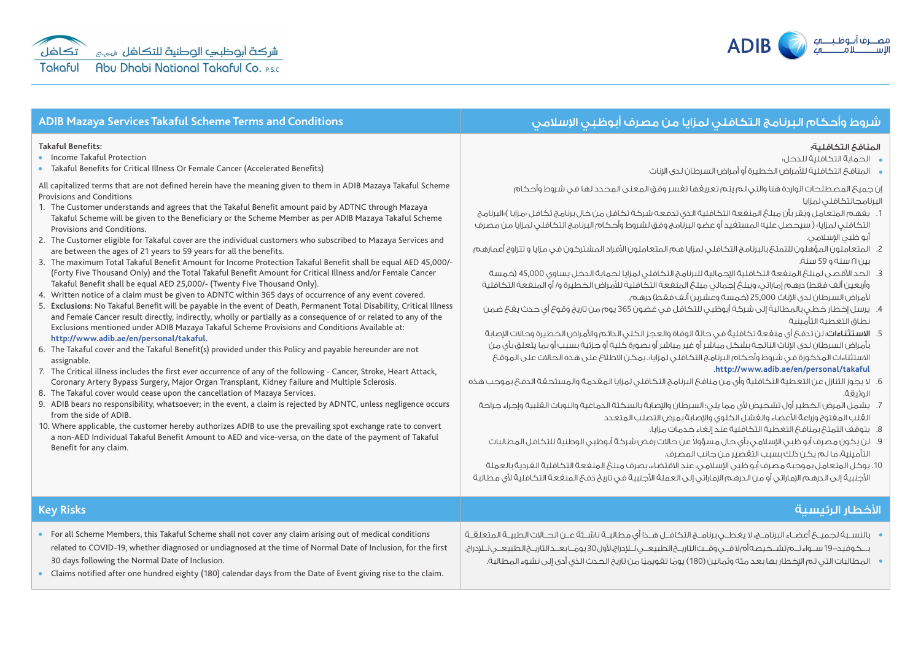

#### المنافع التكافلية:

- الحماية التكافلية للدخل:
- المنافع التكافلية لألمراض الخطيرة أو أمراض السرطان لدى اإلناث

إن جميع المصطلحات الواردة هنا والتي لم يتم تعريفها تفسر وفق المعنى المحدد لها في شروط وأحكام البرنامجالتكافلي لمزايا

- 1. يغهم المتعامل ويقر بأن مبلغ المنفعة التكافلية الذي تدفعه شركة تكافل من خال برنامج تكافل «مزايا )»البرنامج التكافلي لمزايا« ) سيحصل عليه المستفيد أو عضو البرنامج وفق لشروط وأحكام البرنامج التكافلي لمزايا من مصرف أبو ظبي اإلسالمي.
- 2. المتعاملون المؤهلون للتمتع بالبرنامج التكافلي لمزايا هم المتعاملون الأفراد المشتركون في مزايا و تتراوح أعمارهم بين 21 سنة و 59 سنة.
- 3. الحد الأقصى لمبلغ المنفعة التكافلية الاحمالية للبرنامج التكافلي لمزايا لحماية الدخل يساوي 45,000 (خمسة وأربعين ألف فقط) درهم إماراتي، ويبلغ إجمالي مبلغ المنفعة التكافلية للأمراض الخطيرة و/ أو المنفعة التكافلية ألمراض السرطان لدى اإلناث 25,000 )خمسة وعشرين ألف فقط( درهم.
- .4 يرسل إخطار خطي بالمطالبة إلى شركة أبوظبي للتكافل في غضون 365 يوم من تاريخ وقوع أي حدث يقع ضمن نطاق التغطية التأمينية
- 5. الاستثناءات: لن تدفع أي منفعة تكافلية في حالة الوفاة والعجز الكلي الدائم والأمراض الخطيرة وحالات الاصابة بأمراض السرطان لدى اإلناث الناتجة بشكل مباشر أو غير مباشر أو بصورة كلية أو جزئية بسبب أو بما يتعلق بأي من االستثناءات المذكورة في شروط وأحكام البرنامج التكافلي لمزايا«. يمكن االطالع على هذه الحاالت على الموقع **.http://www.adib.ae/en/personal/takaful**
- .6 ال يجوز التنازل عن التغطية التكافلية وأي من منافع البرنامج التكافلي لمزايا المقدمة والمستحقة الدفع بموجب هذه الوثيقة.
	- 7. يشمل المرض الخطير أول تشخيص لأي مما يلي؛ السرطان والإصابة بالسكتة الدماغية والنوبات القلبية وإجراء جراحة القلب المفتوح وزراعة األعضاء والفشل الكلوي واإلصابة بمرض التصلب المتعدد
		- .8 يتوقف التمتع بمنافع التغطية التكافلية عند إلغاء خدمات مزايا.
	- .9 ً لن يكون مصرف أبو ظبي اإلسالمي بأي حال مسؤوال عن حاالت رفض شركة أبوظبي الوطنية للتكافل المطالبات التأمينية، ما لم يكن ذلك بسبب التقصير من جانب المصرف.
- 10. يوكل المتعامل بموجبه مصرف أبو ظبي الإسلامي، عند الاقتضاء، بصرف مبلغ المنفعة التكافلية الفردية بالعملة األجنبية إلى الدرهم اإلماراتي أو من الدرهم اإلماراتي إلى العملة األجنبية في تاريخ دفع المنفعة التكافلية ألي مطالبة

#### األخطار الرئيسية **Risks Key** • For all Scheme Members, this Takaful Scheme shall not cover any claim arising out of medical conditions related to COVID-19, whether diagnosed or undiagnosed at the time of Normal Date of Inclusion, for the first 30 days following the Normal Date of Inclusion. Claims notified after one hundred eighty (180) calendar days from the Date of Event giving rise to the claim. بالنســبة لجميــع أعضــاء البرنامــج، ال يغطــي برنامــج التكافــل هــذا أي مطالبــة ناشــئة عــن الحــاالت الطبيــة المتعلقــة بـــكوفيد19- ســواء تــم تشــخيصه أم ال فــي وقــت التاريــخ الطبيعــي لــإدراج، ألول 30 ً يومــا بعــد التاريــخ الطبيعــي لــإدراج. المطالبات التي تم اإلخطار بها بعد مئة وثمانين )180 ً ( يوم ً ا تقويميا من تاريخ الحدث الذي أدى إلى نشوء المطالبة.

# شروط وأحكام البرنامج التكافلي لمزايا من مصرف أبوظبي اإلسالمي **Conditions and Terms Scheme Takaful Services Mazaya ADIB**

### **Takaful Benefits:**

**•** Income Takaful Protection

Takaful Benefits for Critical Illness Or Female Cancer (Accelerated Benefits)

All capitalized terms that are not defined herein have the meaning given to them in ADIB Mazaya Takaful Scheme Provisions and Conditions

- 1. The Customer understands and agrees that the Takaful Benefit amount paid by ADTNC through Mazaya Takaful Scheme will be given to the Beneficiary or the Scheme Member as per ADIB Mazaya Takaful Scheme Provisions and Conditions.
- 2. The Customer eligible for Takaful cover are the individual customers who subscribed to Mazaya Services and are between the ages of 21 years to 59 years for all the benefits.
- 3. The maximum Total Takaful Benefit Amount for Income Protection Takaful Benefit shall be equal AED 45,000/- (Forty Five Thousand Only) and the Total Takaful Benefit Amount for Critical Illness and/or Female Cancer Takaful Benefit shall be equal AED 25,000/- (Twenty Five Thousand Only).
- 4. Written notice of a claim must be given to ADNTC within 365 days of occurrence of any event covered.
- 5. **Exclusions**: No Takaful Benefit will be payable in the event of Death, Permanent Total Disability, Critical Illness and Female Cancer result directly, indirectly, wholly or partially as a consequence of or related to any of the Exclusions mentioned under ADIB Mazaya Takaful Scheme Provisions and Conditions Available at:

### **http://www.adib.ae/en/personal/takaful.**

- 6. The Takaful cover and the Takaful Benefit(s) provided under this Policy and payable hereunder are not assignable.
- 7. The Critical illness includes the first ever occurrence of any of the following Cancer, Stroke, Heart Attack, Coronary Artery Bypass Surgery, Major Organ Transplant, Kidney Failure and Multiple Sclerosis.
- 8. The Takaful cover would cease upon the cancellation of Mazaya Services.
- 9. ADIB bears no responsibility, whatsoever; in the event, a claim is rejected by ADNTC, unless negligence occurs from the side of ADIB.
- 10. Where applicable, the customer hereby authorizes ADIB to use the prevailing spot exchange rate to convert a non-AED Individual Takaful Benefit Amount to AED and vice-versa, on the date of the payment of Takaful Benefit for any claim.